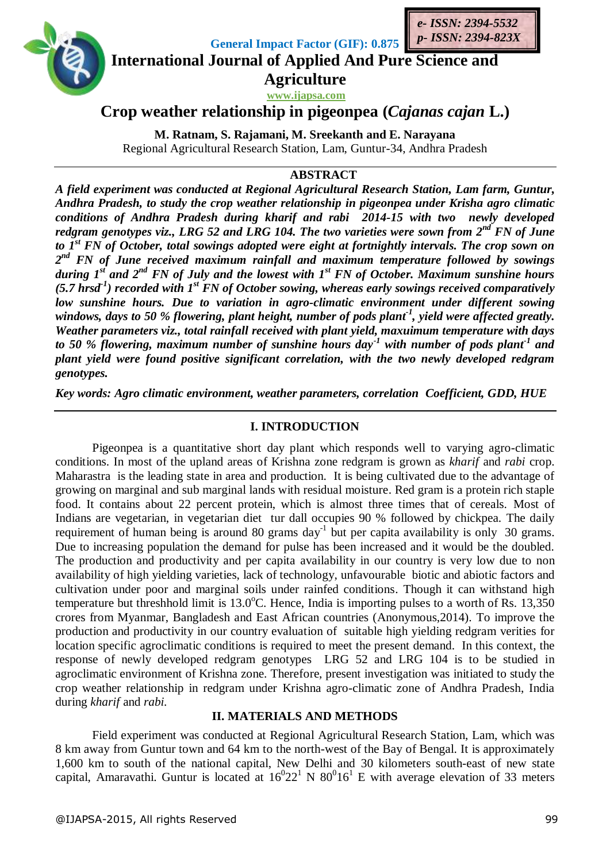

**General Impact Factor (GIF): 0.875**

**International Journal of Applied And Pure Science and** *e- ISSN: 2394-5532 p- ISSN: 2394-823X*

> **Agriculture www.ijapsa.com**

**Crop weather relationship in pigeonpea (***Cajanas cajan* **L.)**

**M. Ratnam, S. Rajamani, M. Sreekanth and E. Narayana**  Regional Agricultural Research Station, Lam, Guntur-34, Andhra Pradesh

### **ABSTRACT**

*A field experiment was conducted at Regional Agricultural Research Station, Lam farm, Guntur, Andhra Pradesh, to study the crop weather relationship in pigeonpea under Krisha agro climatic conditions of Andhra Pradesh during kharif and rabi 2014-15 with two newly developed redgram genotypes viz., LRG 52 and LRG 104. The two varieties were sown from 2nd FN of June to 1st FN of October, total sowings adopted were eight at fortnightly intervals. The crop sown on 2 nd FN of June received maximum rainfall and maximum temperature followed by sowings during 1 st and 2nd FN of July and the lowest with 1st FN of October. Maximum sunshine hours (5.7 hrsd-1 ) recorded with 1st FN of October sowing, whereas early sowings received comparatively low sunshine hours. Due to variation in agro-climatic environment under different sowing windows, days to 50 % flowering, plant height, number of pods plant-1 , yield were affected greatly. Weather parameters viz., total rainfall received with plant yield, maxuimum temperature with days to 50 % flowering, maximum number of sunshine hours day-1 with number of pods plant-1 and plant yield were found positive significant correlation, with the two newly developed redgram genotypes.*

*Key words: Agro climatic environment, weather parameters, correlation Coefficient, GDD, HUE* 

## **I. INTRODUCTION**

Pigeonpea is a quantitative short day plant which responds well to varying agro-climatic conditions. In most of the upland areas of Krishna zone redgram is grown as *kharif* and *rabi* crop. Maharastra is the leading state in area and production. It is being cultivated due to the advantage of growing on marginal and sub marginal lands with residual moisture. Red gram is a protein rich staple food. It contains about 22 percent protein, which is almost three times that of cereals. Most of Indians are vegetarian, in vegetarian diet tur dall occupies 90 % followed by chickpea. The daily requirement of human being is around 80 grams day<sup>-1</sup> but per capita availability is only 30 grams. Due to increasing population the demand for pulse has been increased and it would be the doubled. The production and productivity and per capita availability in our country is very low due to non availability of high yielding varieties, lack of technology, unfavourable biotic and abiotic factors and cultivation under poor and marginal soils under rainfed conditions. Though it can withstand high temperature but threshhold limit is  $13.0^{\circ}$ C. Hence, India is importing pulses to a worth of Rs. 13,350 crores from Myanmar, Bangladesh and East African countries (Anonymous,2014). To improve the production and productivity in our country evaluation of suitable high yielding redgram verities for location specific agroclimatic conditions is required to meet the present demand. In this context, the response of newly developed redgram genotypes LRG 52 and LRG 104 is to be studied in agroclimatic environment of Krishna zone. Therefore, present investigation was initiated to study the crop weather relationship in redgram under Krishna agro-climatic zone of Andhra Pradesh, India during *kharif* and *rabi.*

### **II. MATERIALS AND METHODS**

Field experiment was conducted at Regional Agricultural Research Station, Lam, which was 8 km away from Guntur town and 64 km to the north-west of the Bay of Bengal. It is approximately 1,600 km to south of the national capital, New Delhi and 30 kilometers south-east of new state capital, Amaravathi. Guntur is located at  $16^{0}22^{1}$  N  $80^{0}16^{1}$  E with average elevation of 33 meters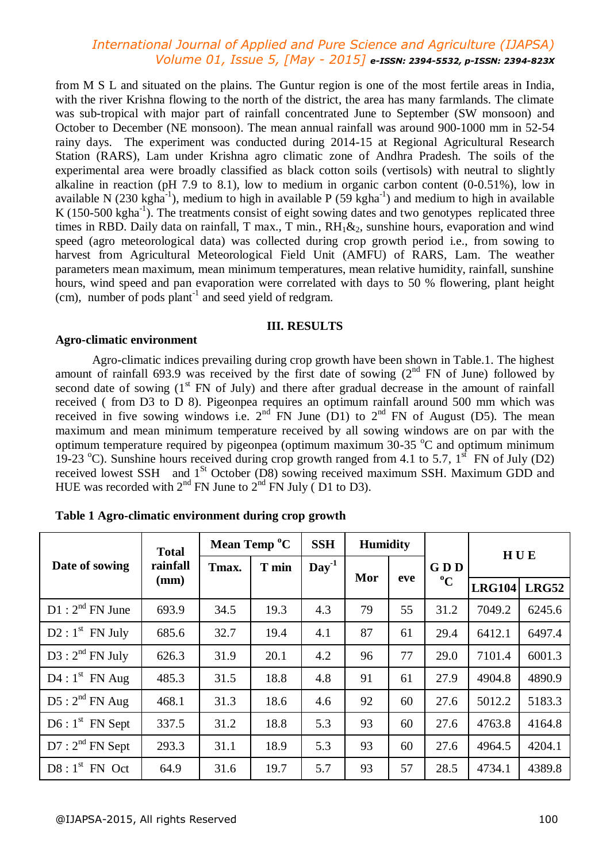## *International Journal of Applied and Pure Science and Agriculture (IJAPSA) Volume 01, Issue 5, [May - 2015] e-ISSN: 2394-5532, p-ISSN: 2394-823X*

from M S L and situated on the plains. The Guntur region is one of the most fertile areas in India, with the river Krishna flowing to the north of the district, the area has many farmlands. The climate was sub-tropical with major part of rainfall concentrated June to September (SW monsoon) and October to December (NE monsoon). The mean annual rainfall was around 900-1000 mm in 52-54 rainy days. The experiment was conducted during 2014-15 at Regional Agricultural Research Station (RARS), Lam under Krishna agro climatic zone of Andhra Pradesh. The soils of the experimental area were broadly classified as black cotton soils (vertisols) with neutral to slightly alkaline in reaction (pH 7.9 to 8.1), low to medium in organic carbon content (0-0.51%), low in available N (230 kgha<sup>-1</sup>), medium to high in available P (59 kgha<sup>-1</sup>) and medium to high in available K (150-500 kgha<sup>-1</sup>). The treatments consist of eight sowing dates and two genotypes replicated three times in RBD. Daily data on rainfall, T max., T min., RH<sub>1</sub>&<sub>2</sub>, sunshine hours, evaporation and wind speed (agro meteorological data) was collected during crop growth period i.e., from sowing to harvest from Agricultural Meteorological Field Unit (AMFU) of RARS, Lam. The weather parameters mean maximum, mean minimum temperatures, mean relative humidity, rainfall, sunshine hours, wind speed and pan evaporation were correlated with days to 50 % flowering, plant height (cm), number of pods plant<sup>-1</sup> and seed yield of redgram.

#### **III. RESULTS**

#### **Agro-climatic environment**

Agro-climatic indices prevailing during crop growth have been shown in Table.1. The highest amount of rainfall 693.9 was received by the first date of sowing  $(2<sup>nd</sup> FN of June)$  followed by second date of sowing  $(1<sup>st</sup> FN of July)$  and there after gradual decrease in the amount of rainfall received ( from D3 to D 8). Pigeonpea requires an optimum rainfall around 500 mm which was received in five sowing windows i.e.  $2<sup>nd</sup>$  FN June (D1) to  $2<sup>nd</sup>$  FN of August (D5). The mean maximum and mean minimum temperature received by all sowing windows are on par with the optimum temperature required by pigeonpea (optimum maximum  $30-35$  °C and optimum minimum 19-23 °C). Sunshine hours received during crop growth ranged from 4.1 to 5.7,  $1<sup>st</sup>$  FN of July (D2) received lowest SSH and 1<sup>St</sup> October (D8) sowing received maximum SSH. Maximum GDD and HUE was recorded with  $2<sup>nd</sup>$  FN June to  $2<sup>nd</sup>$  FN July (D1 to D3).

| Date of sowing              | <b>Total</b><br>rainfall<br>(mm) | Mean Temp <sup>o</sup> C |       | <b>SSH</b>       | <b>Humidity</b> |     |                    | HUE           |              |
|-----------------------------|----------------------------------|--------------------------|-------|------------------|-----------------|-----|--------------------|---------------|--------------|
|                             |                                  | Tmax.                    | T min | Day <sup>1</sup> | Mor             | eve | GDD<br>$\rm ^{o}C$ |               |              |
|                             |                                  |                          |       |                  |                 |     |                    | <b>LRG104</b> | <b>LRG52</b> |
| $D1: 2^{nd}$ FN June        | 693.9                            | 34.5                     | 19.3  | 4.3              | 79              | 55  | 31.2               | 7049.2        | 6245.6       |
| $D2: 1st$ FN July           | 685.6                            | 32.7                     | 19.4  | 4.1              | 87              | 61  | 29.4               | 6412.1        | 6497.4       |
| $D3:2^{nd}$ FN July         | 626.3                            | 31.9                     | 20.1  | 4.2              | 96              | 77  | 29.0               | 7101.4        | 6001.3       |
| $D4:1^{st}$ FN Aug          | 485.3                            | 31.5                     | 18.8  | 4.8              | 91              | 61  | 27.9               | 4904.8        | 4890.9       |
| $D5:2^{nd}$ FN Aug          | 468.1                            | 31.3                     | 18.6  | 4.6              | 92              | 60  | 27.6               | 5012.2        | 5183.3       |
| $D6:1^{st}$ FN Sept         | 337.5                            | 31.2                     | 18.8  | 5.3              | 93              | 60  | 27.6               | 4763.8        | 4164.8       |
| D7: 2 <sup>nd</sup> FN Sept | 293.3                            | 31.1                     | 18.9  | 5.3              | 93              | 60  | 27.6               | 4964.5        | 4204.1       |
| $DS: 1st$ FN Oct            | 64.9                             | 31.6                     | 19.7  | 5.7              | 93              | 57  | 28.5               | 4734.1        | 4389.8       |

**Table 1 Agro-climatic environment during crop growth**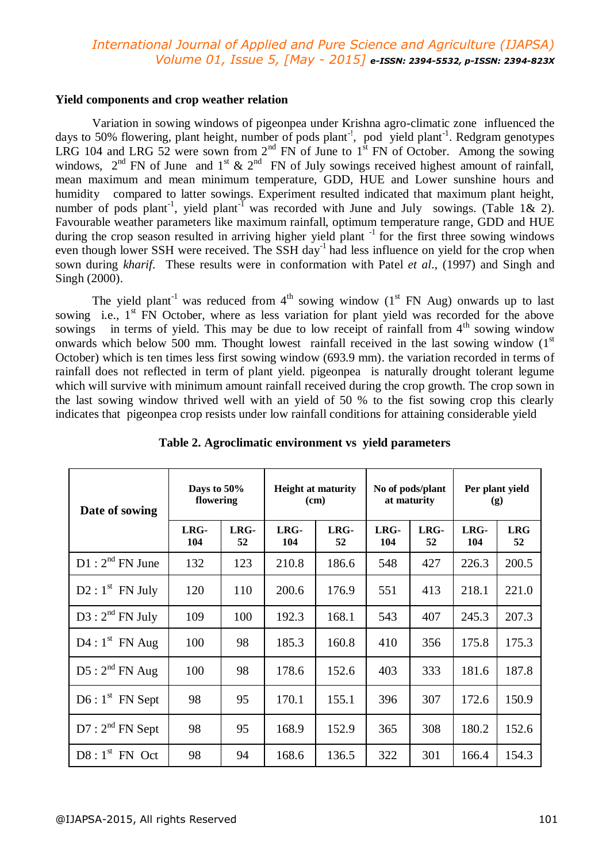# *International Journal of Applied and Pure Science and Agriculture (IJAPSA) Volume 01, Issue 5, [May - 2015] e-ISSN: 2394-5532, p-ISSN: 2394-823X*

#### **Yield components and crop weather relation**

Variation in sowing windows of pigeonpea under Krishna agro-climatic zone influenced the days to 50% flowering, plant height, number of pods plant<sup>-1</sup>, pod yield plant<sup>-1</sup>. Redgram genotypes LRG 104 and LRG 52 were sown from  $2<sup>nd</sup>$  FN of June to  $1<sup>st</sup>$  FN of October. Among the sowing windows,  $2<sup>nd</sup>$  FN of June and  $1<sup>st</sup>$  &  $2<sup>nd</sup>$  FN of July sowings received highest amount of rainfall, mean maximum and mean minimum temperature, GDD, HUE and Lower sunshine hours and humidity compared to latter sowings. Experiment resulted indicated that maximum plant height, number of pods plant<sup>-1</sup>, yield plant<sup>-1</sup> was recorded with June and July sowings. (Table 1& 2). Favourable weather parameters like maximum rainfall, optimum temperature range, GDD and HUE during the crop season resulted in arriving higher yield plant<sup>-1</sup> for the first three sowing windows even though lower SSH were received. The SSH day<sup>-1</sup> had less influence on yield for the crop when sown during *kharif.* These results were in conformation with Patel *et al*., (1997) and Singh and Singh (2000).

The yield plant<sup>-1</sup> was reduced from  $4<sup>th</sup>$  sowing window ( $1<sup>st</sup>$  FN Aug) onwards up to last sowing i.e.,  $1<sup>st</sup>$  FN October, where as less variation for plant yield was recorded for the above sowings in terms of yield. This may be due to low receipt of rainfall from  $4<sup>th</sup>$  sowing window onwards which below 500 mm. Thought lowest rainfall received in the last sowing window  $(1<sup>st</sup>)$ October) which is ten times less first sowing window (693.9 mm). the variation recorded in terms of rainfall does not reflected in term of plant yield. pigeonpea is naturally drought tolerant legume which will survive with minimum amount rainfall received during the crop growth. The crop sown in the last sowing window thrived well with an yield of 50 % to the fist sowing crop this clearly indicates that pigeonpea crop resists under low rainfall conditions for attaining considerable yield

| Date of sowing              | Days to 50%<br>flowering |            | <b>Height at maturity</b><br>(cm) |            | No of pods/plant<br>at maturity |            | Per plant yield<br>(g) |                  |
|-----------------------------|--------------------------|------------|-----------------------------------|------------|---------------------------------|------------|------------------------|------------------|
|                             | LRG-<br>104              | LRG-<br>52 | LRG-<br>104                       | LRG-<br>52 | LRG-<br>104                     | LRG-<br>52 | LRG-<br>104            | <b>LRG</b><br>52 |
| $D1: 2^{nd}$ FN June        | 132                      | 123        | 210.8                             | 186.6      | 548                             | 427        | 226.3                  | 200.5            |
| $D2: 1st$ FN July           | 120                      | 110        | 200.6                             | 176.9      | 551                             | 413        | 218.1                  | 221.0            |
| $D3:2^{nd}$ FN July         | 109                      | 100        | 192.3                             | 168.1      | 543                             | 407        | 245.3                  | 207.3            |
| $D4:1^{st}$ FN Aug          | 100                      | 98         | 185.3                             | 160.8      | 410                             | 356        | 175.8                  | 175.3            |
| $D5:2^{nd}$ FN Aug          | 100                      | 98         | 178.6                             | 152.6      | 403                             | 333        | 181.6                  | 187.8            |
| $D6:1^{st}$ FN Sept         | 98                       | 95         | 170.1                             | 155.1      | 396                             | 307        | 172.6                  | 150.9            |
| D7: 2 <sup>nd</sup> FN Sept | 98                       | 95         | 168.9                             | 152.9      | 365                             | 308        | 180.2                  | 152.6            |
| $DS: 1st$ FN Oct            | 98                       | 94         | 168.6                             | 136.5      | 322                             | 301        | 166.4                  | 154.3            |

**Table 2. Agroclimatic environment vs yield parameters**